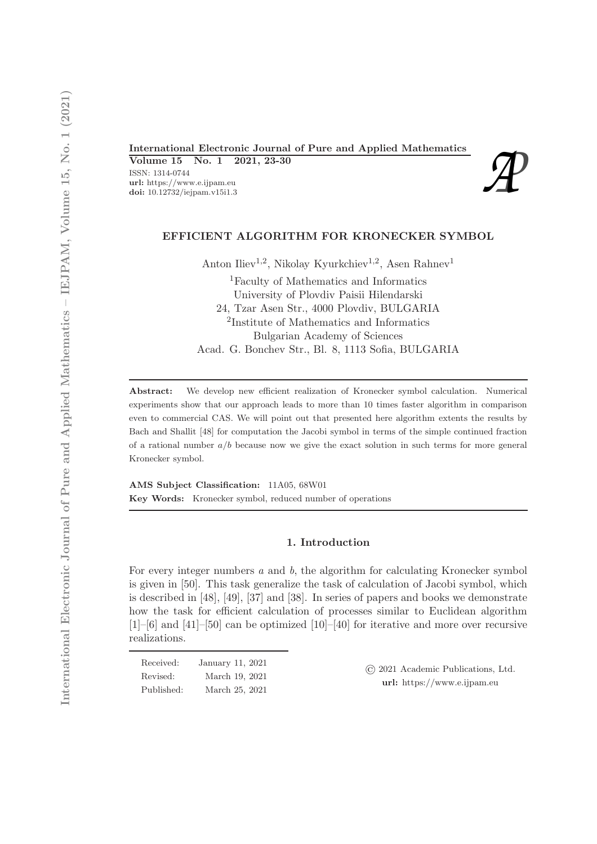International Electronic Journal of Pure and Applied Mathematics<br>
Volume 15 No. 1 2021, 23-30<br>
ISSN: 1314-0744<br>
url: https://www.e.ijpam.eu<br>
doi: 10.12732/iejpam.v15i1.3 Volume 15 No. 1 2021, 23-30 ISSN: 1314-0744 url: https://www.e.ijpam.eu

## EFFICIENT ALGORITHM FOR KRONECKER SYMBOL

Anton Iliev<sup>1,2</sup>, Nikolay Kyurkchiev<sup>1,2</sup>, Asen Rahnev<sup>1</sup>

<sup>1</sup>Faculty of Mathematics and Informatics University of Plovdiv Paisii Hilendarski 24, Tzar Asen Str., 4000 Plovdiv, BULGARIA 2 Institute of Mathematics and Informatics Bulgarian Academy of Sciences Acad. G. Bonchev Str., Bl. 8, 1113 Sofia, BULGARIA

Abstract: We develop new efficient realization of Kronecker symbol calculation. Numerical experiments show that our approach leads to more than 10 times faster algorithm in comparison even to commercial CAS. We will point out that presented here algorithm extents the results by Bach and Shallit [48] for computation the Jacobi symbol in terms of the simple continued fraction of a rational number  $a/b$  because now we give the exact solution in such terms for more general Kronecker symbol.

AMS Subject Classification: 11A05, 68W01 Key Words: Kronecker symbol, reduced number of operations

# 1. Introduction

For every integer numbers  $a$  and  $b$ , the algorithm for calculating Kronecker symbol is given in [50]. This task generalize the task of calculation of Jacobi symbol, which is described in [48], [49], [37] and [38]. In series of papers and books we demonstrate how the task for efficient calculation of processes similar to Euclidean algorithm [1]–[6] and [41]–[50] can be optimized [10]–[40] for iterative and more over recursive realizations.

| Received:  | January 11, 2021 |
|------------|------------------|
| Revised:   | March 19, 2021   |
| Published: | March 25, 2021   |

© 2021 Academic Publications, Ltd. url: https://www.e.ijpam.eu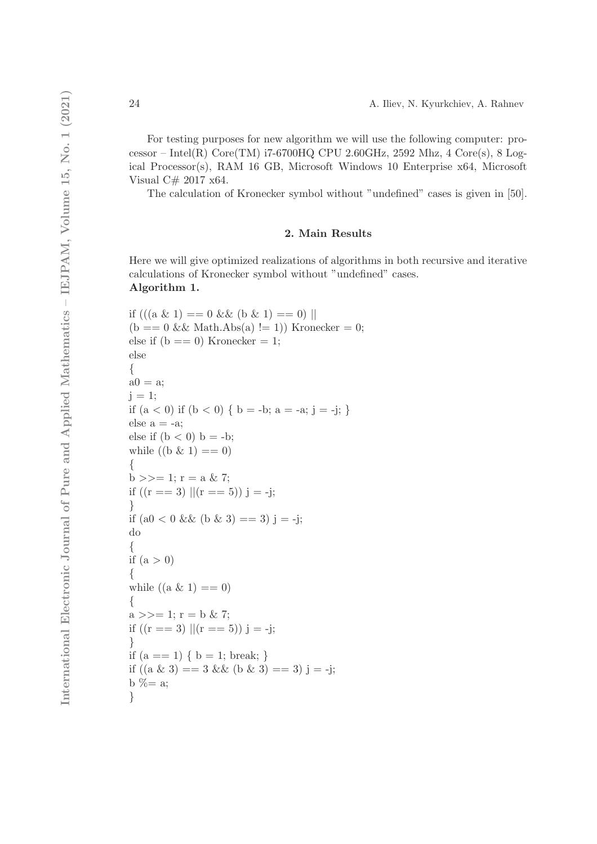For testing purposes for new algorithm we will use the following computer: processor – Intel $(R)$  Core $(TM)$  i7-6700HQ CPU 2.60GHz, 2592 Mhz, 4 Core $(s)$ , 8 Logical Processor(s), RAM 16 GB, Microsoft Windows 10 Enterprise x64, Microsoft Visual C# 2017 x64.

The calculation of Kronecker symbol without "undefined" cases is given in [50].

#### 2. Main Results

Here we will give optimized realizations of algorithms in both recursive and iterative calculations of Kronecker symbol without "undefined" cases. Algorithm 1.

```
if (((a \& 1) == 0 \& (b \& 1) == 0)(b == 0 \&\& \text{Math.Abs}(a) != 1) Kronecker = 0;
else if (b == 0) Kronecker = 1;
else
{
a0 = a;i = 1;
if (a < 0) if (b < 0) { b = -b; a = -a; j = -j; }
else a = -a;
else if (b < 0) b = -b;
while ((b \& 1) == 0){
b \gg = 1; r = a & 7;
if ((r == 3) || (r == 5)) j = -j;
}
if (a0 < 0 \&\& (b \& 3) == 3) j = -j;
do
{
if (a > 0){
while ((a \& 1) == 0){
a \gg = 1; r = b \& 7;
if ((r == 3) || (r == 5)) j = -j;
}
if (a == 1) \{ b = 1; break; \}if ((a \& 3) == 3 \& (b \& 3) == 3) j = -j;
b % = a;
}
```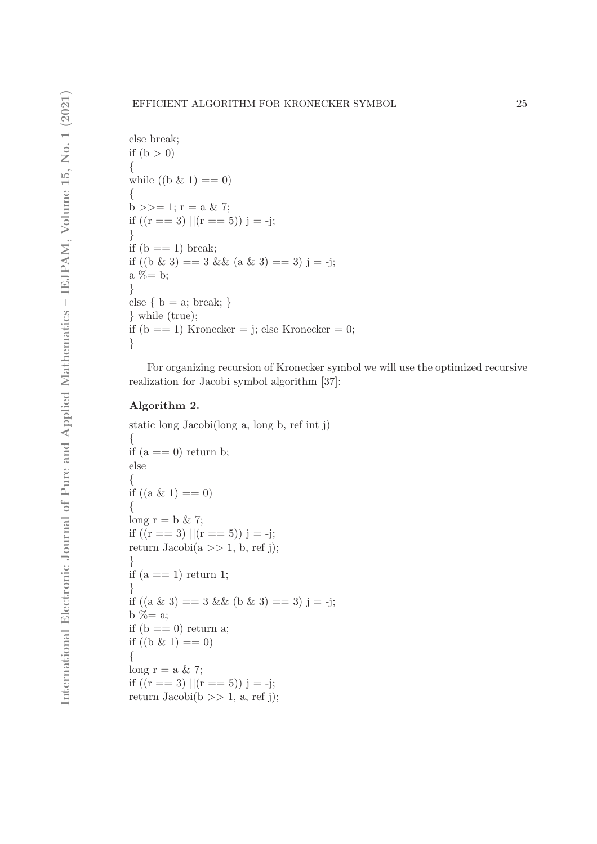```
else break;
if (b > 0){
while ((b \& 1) == 0){
b >>= 1; r = a & 7;
if ((r == 3) || (r == 5)) j = -j;}
if (b == 1) break;
if ((b \& 3) == 3 \& 2 \& 3 \& 3) == 3) j = -j;
a \% = b;
}
else { b = a; break; }
} while (true);
if (b == 1) Kronecker = j; else Kronecker = 0;
}
```
For organizing recursion of Kronecker symbol we will use the optimized recursive realization for Jacobi symbol algorithm [37]:

# Algorithm 2.

```
static long Jacobi(long a, long b, ref int j)
{
if (a == 0) return b;
else
{
if ((a \& 1) == 0)\{long r = b \& 7;if ((r == 3) || (r == 5)) j = -j;return Jacobi(a \gg 1, b, ref j);}
if (a == 1) return 1;
}
if ((a \& 3) == 3 \& 0 \& 3) == 3) j = -j;
b \% = aif (b == 0) return a;
if ((b \& 1) == 0){
long r = a \& 7;
if ((r == 3) || (r == 5)) j = -j;return Jacobi(b \gg 1, a, ref j);
```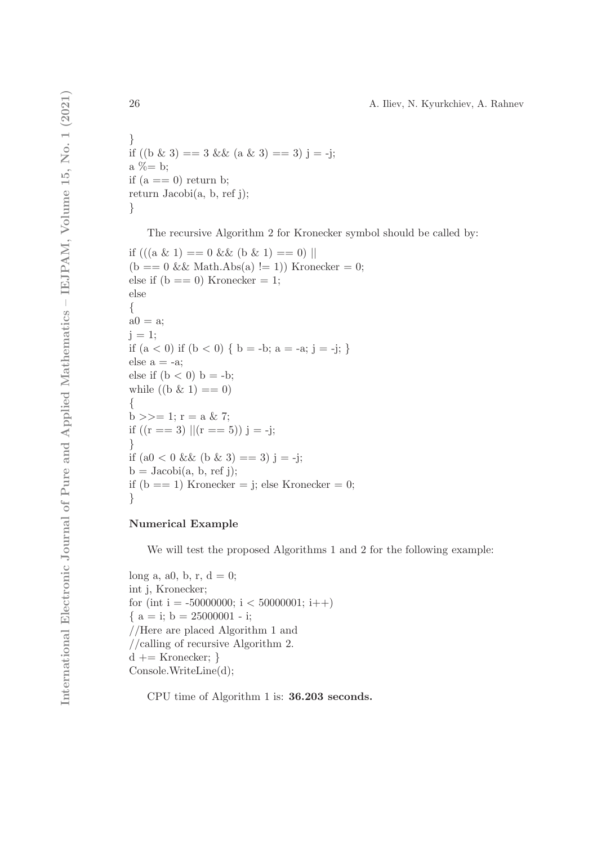} if  $((b \& 3) == 3 \& 4 \& 3) == 3)$  j = -j; a  $% = b$ ; if  $(a == 0)$  return b; return Jacobi(a, b, ref j); }

The recursive Algorithm 2 for Kronecker symbol should be called by:

```
if (((a \& 1) == 0 \& 0 \& 1) == 0)(b == 0 \&\& \text{Math.Abs}(a) != 1)) Kronecker = 0;
else if (b == 0) Kronecker = 1;
else
{
a0 = a;j = 1;if (a < 0) if (b < 0) { b = -b; a = -a; j = -j; }
else a = -a;
else if (b < 0) b = -b;
while ((b \& 1) == 0){
b >>= 1; r = a & 7;
if ((r == 3) || (r == 5)) j = -j;}
if (a0 < 0 \&\& (b \& 3) == 3) j = -j;
b = Jacobi(a, b, ref j);
if (b == 1) Kronecker = j; else Kronecker = 0;
}
```
# Numerical Example

We will test the proposed Algorithms 1 and 2 for the following example:

```
long a, a0, b, r, d = 0;
int j, Kronecker;
for (int i = -50000000; i < 50000001; i++)
{ a = i; b = 25000001 - i; }//Here are placed Algorithm 1 and
//calling of recursive Algorithm 2.
d += Kronecker; }
Console.WriteLine(d);
```
CPU time of Algorithm 1 is: 36.203 seconds.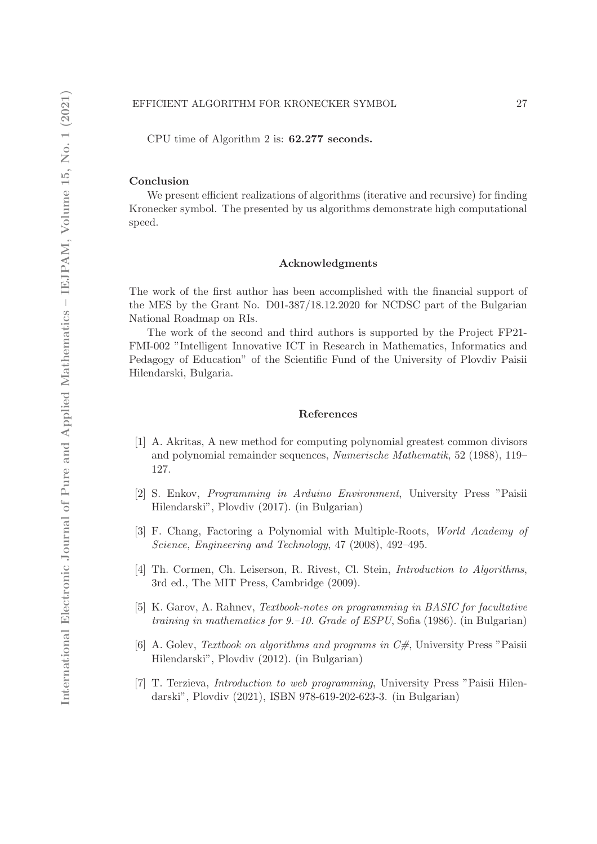CPU time of Algorithm 2 is: 62.277 seconds.

## Conclusion

We present efficient realizations of algorithms (iterative and recursive) for finding Kronecker symbol. The presented by us algorithms demonstrate high computational speed.

### Acknowledgments

The work of the first author has been accomplished with the financial support of the MES by the Grant No. D01-387/18.12.2020 for NCDSC part of the Bulgarian National Roadmap on RIs.

The work of the second and third authors is supported by the Project FP21- FMI-002 "Intelligent Innovative ICT in Research in Mathematics, Informatics and Pedagogy of Education" of the Scientific Fund of the University of Plovdiv Paisii Hilendarski, Bulgaria.

## References

- [1] A. Akritas, A new method for computing polynomial greatest common divisors and polynomial remainder sequences, Numerische Mathematik, 52 (1988), 119– 127.
- [2] S. Enkov, Programming in Arduino Environment, University Press "Paisii Hilendarski", Plovdiv (2017). (in Bulgarian)
- [3] F. Chang, Factoring a Polynomial with Multiple-Roots, World Academy of Science, Engineering and Technology, 47 (2008), 492–495.
- [4] Th. Cormen, Ch. Leiserson, R. Rivest, Cl. Stein, Introduction to Algorithms, 3rd ed., The MIT Press, Cambridge (2009).
- [5] K. Garov, A. Rahnev, Textbook-notes on programming in BASIC for facultative training in mathematics for  $9-10$ . Grade of ESPU, Sofia (1986). (in Bulgarian)
- [6] A. Golev, Textbook on algorithms and programs in  $C#$ , University Press "Paisii Hilendarski", Plovdiv (2012). (in Bulgarian)
- [7] T. Terzieva, Introduction to web programming, University Press "Paisii Hilendarski", Plovdiv (2021), ISBN 978-619-202-623-3. (in Bulgarian)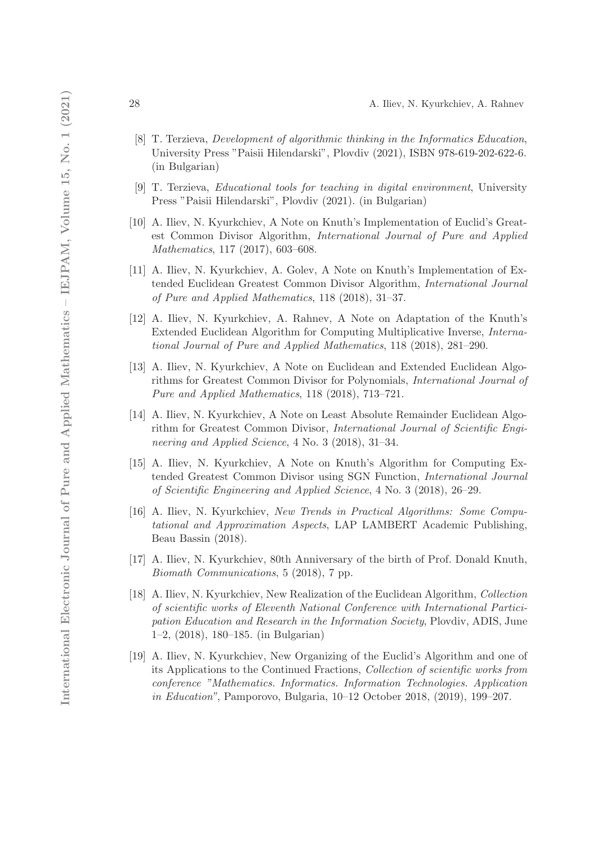- [8] T. Terzieva, Development of algorithmic thinking in the Informatics Education, University Press "Paisii Hilendarski", Plovdiv (2021), ISBN 978-619-202-622-6. (in Bulgarian)
- [9] T. Terzieva, Educational tools for teaching in digital environment, University Press "Paisii Hilendarski", Plovdiv (2021). (in Bulgarian)
- [10] A. Iliev, N. Kyurkchiev, A Note on Knuth's Implementation of Euclid's Greatest Common Divisor Algorithm, International Journal of Pure and Applied Mathematics, 117 (2017), 603–608.
- [11] A. Iliev, N. Kyurkchiev, A. Golev, A Note on Knuth's Implementation of Extended Euclidean Greatest Common Divisor Algorithm, International Journal of Pure and Applied Mathematics, 118 (2018), 31–37.
- [12] A. Iliev, N. Kyurkchiev, A. Rahnev, A Note on Adaptation of the Knuth's Extended Euclidean Algorithm for Computing Multiplicative Inverse, International Journal of Pure and Applied Mathematics, 118 (2018), 281–290.
- [13] A. Iliev, N. Kyurkchiev, A Note on Euclidean and Extended Euclidean Algorithms for Greatest Common Divisor for Polynomials, International Journal of Pure and Applied Mathematics, 118 (2018), 713–721.
- [14] A. Iliev, N. Kyurkchiev, A Note on Least Absolute Remainder Euclidean Algorithm for Greatest Common Divisor, International Journal of Scientific Engineering and Applied Science, 4 No. 3 (2018), 31–34.
- [15] A. Iliev, N. Kyurkchiev, A Note on Knuth's Algorithm for Computing Extended Greatest Common Divisor using SGN Function, International Journal of Scientific Engineering and Applied Science, 4 No. 3 (2018), 26–29.
- [16] A. Iliev, N. Kyurkchiev, New Trends in Practical Algorithms: Some Computational and Approximation Aspects, LAP LAMBERT Academic Publishing, Beau Bassin (2018).
- [17] A. Iliev, N. Kyurkchiev, 80th Anniversary of the birth of Prof. Donald Knuth, Biomath Communications, 5 (2018), 7 pp.
- [18] A. Iliev, N. Kyurkchiev, New Realization of the Euclidean Algorithm, Collection of scientific works of Eleventh National Conference with International Participation Education and Research in the Information Society, Plovdiv, ADIS, June 1–2, (2018), 180–185. (in Bulgarian)
- [19] A. Iliev, N. Kyurkchiev, New Organizing of the Euclid's Algorithm and one of its Applications to the Continued Fractions, Collection of scientific works from conference "Mathematics. Informatics. Information Technologies. Application in Education", Pamporovo, Bulgaria, 10–12 October 2018, (2019), 199–207.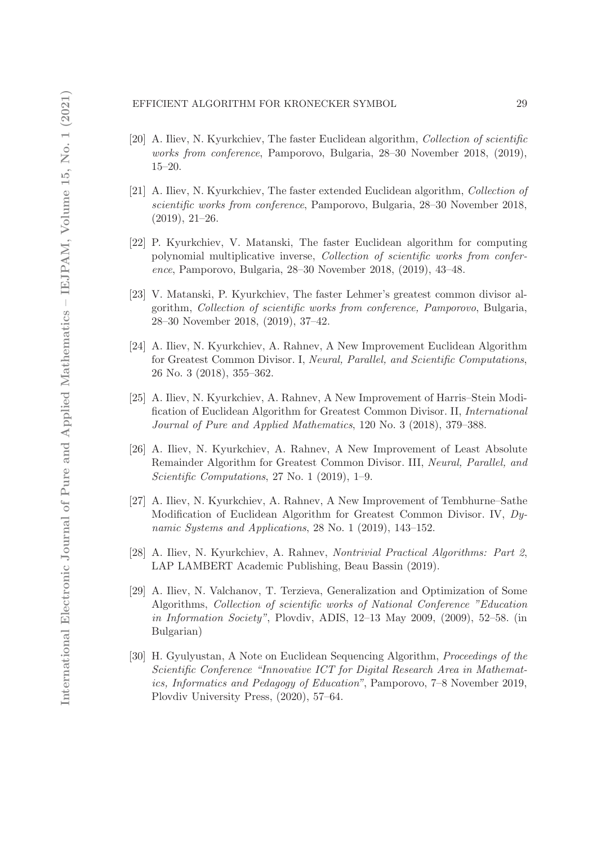## EFFICIENT ALGORITHM FOR KRONECKER SYMBOL 29

- [20] A. Iliev, N. Kyurkchiev, The faster Euclidean algorithm, Collection of scientific works from conference, Pamporovo, Bulgaria, 28–30 November 2018, (2019), 15–20.
- [21] A. Iliev, N. Kyurkchiev, The faster extended Euclidean algorithm, Collection of scientific works from conference, Pamporovo, Bulgaria, 28–30 November 2018, (2019), 21–26.
- [22] P. Kyurkchiev, V. Matanski, The faster Euclidean algorithm for computing polynomial multiplicative inverse, Collection of scientific works from conference, Pamporovo, Bulgaria, 28–30 November 2018, (2019), 43–48.
- [23] V. Matanski, P. Kyurkchiev, The faster Lehmer's greatest common divisor algorithm, Collection of scientific works from conference, Pamporovo, Bulgaria, 28–30 November 2018, (2019), 37–42.
- [24] A. Iliev, N. Kyurkchiev, A. Rahnev, A New Improvement Euclidean Algorithm for Greatest Common Divisor. I, Neural, Parallel, and Scientific Computations, 26 No. 3 (2018), 355–362.
- [25] A. Iliev, N. Kyurkchiev, A. Rahnev, A New Improvement of Harris–Stein Modification of Euclidean Algorithm for Greatest Common Divisor. II, International Journal of Pure and Applied Mathematics, 120 No. 3 (2018), 379–388.
- [26] A. Iliev, N. Kyurkchiev, A. Rahnev, A New Improvement of Least Absolute Remainder Algorithm for Greatest Common Divisor. III, Neural, Parallel, and Scientific Computations, 27 No. 1 (2019), 1–9.
- [27] A. Iliev, N. Kyurkchiev, A. Rahnev, A New Improvement of Tembhurne–Sathe Modification of Euclidean Algorithm for Greatest Common Divisor. IV, Dynamic Systems and Applications, 28 No. 1 (2019), 143–152.
- [28] A. Iliev, N. Kyurkchiev, A. Rahnev, Nontrivial Practical Algorithms: Part 2, LAP LAMBERT Academic Publishing, Beau Bassin (2019).
- [29] A. Iliev, N. Valchanov, T. Terzieva, Generalization and Optimization of Some Algorithms, Collection of scientific works of National Conference "Education in Information Society", Plovdiv, ADIS, 12–13 May 2009, (2009), 52–58. (in Bulgarian)
- [30] H. Gyulyustan, A Note on Euclidean Sequencing Algorithm, Proceedings of the Scientific Conference "Innovative ICT for Digital Research Area in Mathematics, Informatics and Pedagogy of Education", Pamporovo, 7–8 November 2019, Plovdiv University Press, (2020), 57–64.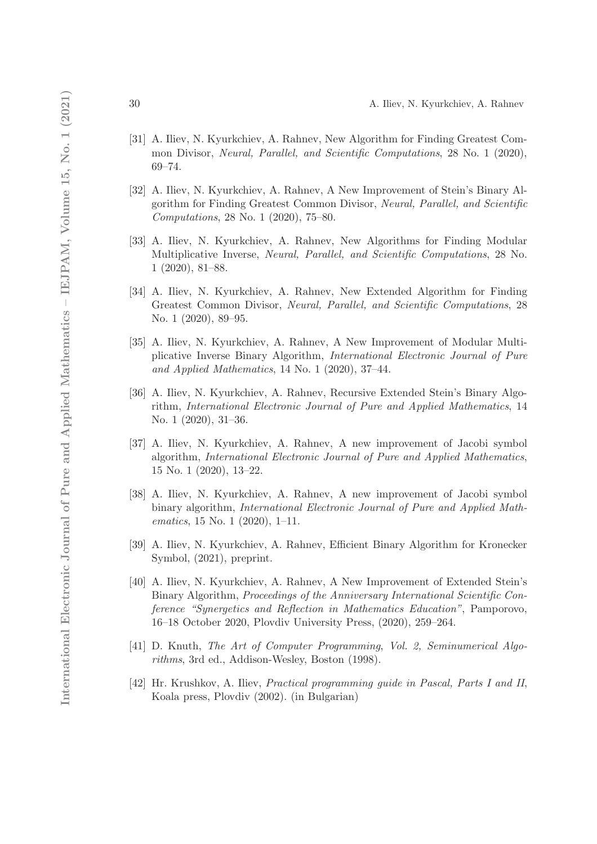- [31] A. Iliev, N. Kyurkchiev, A. Rahnev, New Algorithm for Finding Greatest Common Divisor, Neural, Parallel, and Scientific Computations, 28 No. 1 (2020), 69–74.
- [32] A. Iliev, N. Kyurkchiev, A. Rahnev, A New Improvement of Stein's Binary Algorithm for Finding Greatest Common Divisor, Neural, Parallel, and Scientific Computations, 28 No. 1 (2020), 75–80.
- [33] A. Iliev, N. Kyurkchiev, A. Rahnev, New Algorithms for Finding Modular Multiplicative Inverse, Neural, Parallel, and Scientific Computations, 28 No. 1 (2020), 81–88.
- [34] A. Iliev, N. Kyurkchiev, A. Rahnev, New Extended Algorithm for Finding Greatest Common Divisor, Neural, Parallel, and Scientific Computations, 28 No. 1 (2020), 89–95.
- [35] A. Iliev, N. Kyurkchiev, A. Rahnev, A New Improvement of Modular Multiplicative Inverse Binary Algorithm, International Electronic Journal of Pure and Applied Mathematics, 14 No. 1 (2020), 37–44.
- [36] A. Iliev, N. Kyurkchiev, A. Rahnev, Recursive Extended Stein's Binary Algorithm, International Electronic Journal of Pure and Applied Mathematics, 14 No. 1 (2020), 31–36.
- [37] A. Iliev, N. Kyurkchiev, A. Rahnev, A new improvement of Jacobi symbol algorithm, International Electronic Journal of Pure and Applied Mathematics, 15 No. 1 (2020), 13–22.
- [38] A. Iliev, N. Kyurkchiev, A. Rahnev, A new improvement of Jacobi symbol binary algorithm, International Electronic Journal of Pure and Applied Mathematics, 15 No. 1 (2020), 1–11.
- [39] A. Iliev, N. Kyurkchiev, A. Rahnev, Efficient Binary Algorithm for Kronecker Symbol, (2021), preprint.
- [40] A. Iliev, N. Kyurkchiev, A. Rahnev, A New Improvement of Extended Stein's Binary Algorithm, Proceedings of the Anniversary International Scientific Conference "Synergetics and Reflection in Mathematics Education", Pamporovo, 16–18 October 2020, Plovdiv University Press, (2020), 259–264.
- [41] D. Knuth, The Art of Computer Programming, Vol. 2, Seminumerical Algorithms, 3rd ed., Addison-Wesley, Boston (1998).
- [42] Hr. Krushkov, A. Iliev, Practical programming guide in Pascal, Parts I and II, Koala press, Plovdiv (2002). (in Bulgarian)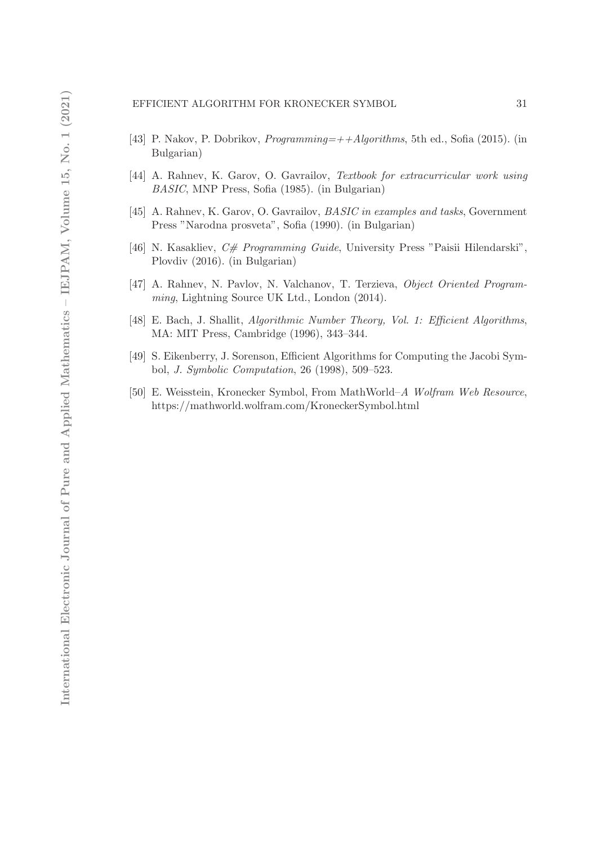- [43] P. Nakov, P. Dobrikov, Programming=++Algorithms, 5th ed., Sofia (2015). (in Bulgarian)
- [44] A. Rahnev, K. Garov, O. Gavrailov, Textbook for extracurricular work using BASIC, MNP Press, Sofia (1985). (in Bulgarian)
- [45] A. Rahnev, K. Garov, O. Gavrailov, *BASIC in examples and tasks*, Government Press "Narodna prosveta", Sofia (1990). (in Bulgarian)
- [46] N. Kasakliev,  $C \#$  Programming Guide, University Press "Paisii Hilendarski", Plovdiv (2016). (in Bulgarian)
- [47] A. Rahnev, N. Pavlov, N. Valchanov, T. Terzieva, Object Oriented Programming, Lightning Source UK Ltd., London (2014).
- [48] E. Bach, J. Shallit, Algorithmic Number Theory, Vol. 1: Efficient Algorithms, MA: MIT Press, Cambridge (1996), 343–344.
- [49] S. Eikenberry, J. Sorenson, Efficient Algorithms for Computing the Jacobi Symbol, J. Symbolic Computation, 26 (1998), 509–523.
- [50] E. Weisstein, Kronecker Symbol, From MathWorld–A Wolfram Web Resource, https://mathworld.wolfram.com/KroneckerSymbol.html